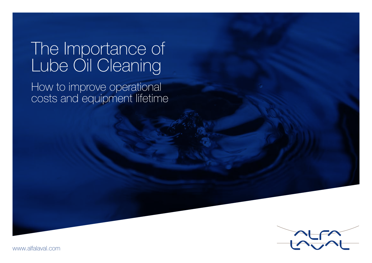# The Importance of Lube Oil Cleaning

How to improve operational costs and equipment lifetime



www.alfalaval.com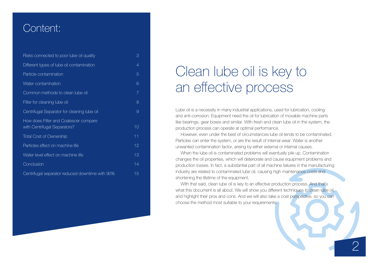## Content:

| Risks connected to poor lube oil quality                              | 3              |
|-----------------------------------------------------------------------|----------------|
| Different types of lube oil contamination                             | 4              |
| Particle contamination                                                | 5              |
| Water contamination                                                   | 6              |
| Common methods to clean lube oil                                      | $\overline{7}$ |
| Filter for cleaning lube oil                                          | 8              |
| Centrifugal Separator for cleaning lube oil                           | 9              |
| How does Filter and Coalescer compare<br>with Centrifugal Separators? | 10             |
| <b>Total Cost of Ownership</b>                                        | 11             |
| Particles effect on machine life                                      | 12             |
| Water level effect on machine life                                    | 13             |
| Conclusion                                                            | 14             |
| Centrifugal separator reduced downtime with 90%                       | 15             |

## Clean lube oil is key to an effective process

Lube oil is a necessity in many industrial applications, used for lubrication, cooling and anti-corrosion. Equipment need the oil for lubrication of movable machine parts like bearings, gear boxes and similar. With fresh and clean lube oil in the system, the production process can operate at optimal performance.

However, even under the best of circumstances lube oil tends to be contaminated. Particles can enter the system, or are the result of internal wear. Water is another unwanted contamination factor, arising by either external or internal causes.

When the lube oil is contaminated problems will eventually pile up. Contamination changes the oil properties, which will deteriorate and cause equipment problems and production losses. In fact, a substantial part of all machine failures in the manufacturing industry are related to contaminated lube oil, causing high maintenance costs and shortening the lifetime of the equipment.

With that said, clean lube oil is key to an effective production process. And that's what this document is all about. We will show you different techniques to clean lube oil, and highlight their pros and cons. And we will also take a cost perspective, so you can choose the method most suitable to your requirements.

2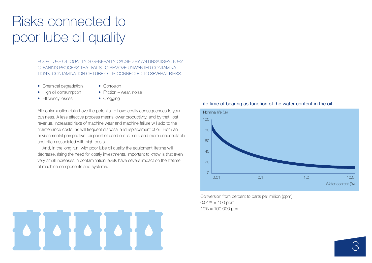## Risks connected to poor lube oil quality

POOR LUBE OIL QUALITY IS GENERALLY CAUSED BY AN UNSATISFACTORY CLEANING PROCESS THAT FAILS TO REMOVE UNWANTED CONTAMINA-TIONS. CONTAMINATION OF LUBE OIL IS CONNECTED TO SEVERAL RISKS:

- Chemical degradation Corrosion
	-
- High oil consumption Friction wear, noise
- 
- Efficiency losses Clogging
- 

All contamination risks have the potential to have costly consequences to your business. A less effective process means lower productivity, and by that, lost revenue. Increased risks of machine wear and machine failure will add to the maintenance costs, as will frequent disposal and replacement of oil. From an environmental perspective, disposal of used oils is more and more unacceptable and often associated with high costs.

And, in the long run, with poor lube oil quality the equipment lifetime will decrease, rising the need for costly investments. Important to know is that even very small increases in contamination levels have severe impact on the lifetime of machine components and systems.

#### Life time of bearing as function of the water content in the oil



Conversion from percent to parts per million (ppm):  $0.01\% = 100$  ppm  $10\% = 100.000$  ppm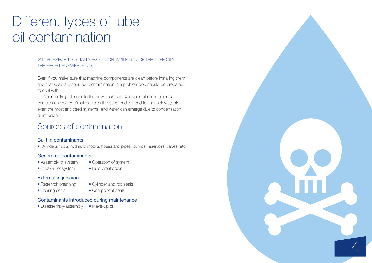## Different types of lube oil contamination

#### IS IT POSSIBLE TO TOTALLY AVOID CONTAMINATION OF THE LUBE OIL? THE SHORT ANSWER IS NO

Even if you make sure that machine components are clean before installing them, and that seals are secured, contamination is a problem you should be prepared to deal with.

When looking closer into the oil we can see two types of contaminants: particles and water. Small particles like sand or dust tend to find their way into even the most enclosed systems, and water can emerge due to condensation or intrusion.

## Sources of contamination

#### Built in contaminants

• Cylinders, fluids, hydraulic motors, hoses and pipes, pumps, reservoirs, valves, etc.

#### Generated contaminants

- Assembly of system Operation of system
- Break-in of system Fluid breakdown

#### External ingression

- Reservoir breathing Cylinder and rod seals
- Bearing seals Component seals
- Contaminants introduced during maintenance
- Disassembly/assembly Make-up oil

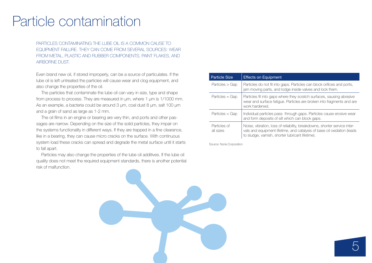## Particle contamination

PARTICLES CONTAMINATING THE LUBE OIL IS A COMMON CAUSE TO EQUIPMENT FAILURE. THEY CAN COME FROM SEVERAL SOURCES: WEAR FROM METAL, PLASTIC AND RUBBER COMPONENTS, PAINT FLAKES, AND AIRBORNE DUST.

Even brand new oil, if stored improperly, can be a source of particulates. If the lube oil is left untreated the particles will cause wear and clog equipment, and also change the properties of the oil.

The particles that contaminate the lube oil can vary in size, type and shape from process to process. They are measured in μm, where 1 μm is 1/1000 mm. As an example, a bacteria could be around 3 μm, coal dust 8 μm, salt 100 μm and a grain of sand as large as 1-2 mm.

The oil films in an engine or bearing are very thin, and ports and other passages are narrow. Depending on the size of the solid particles, they impair on the systems functionality in different ways. If they are trapped in a fine clearance, like in a bearing, they can cause micro cracks on the surface. With continuous system load these cracks can spread and degrade the metal surface until it starts to fall apart.

Particles may also change the properties of the lube oil additives. If the lube oil quality does not meet the required equipment standards, there is another potential risk of malfunction.

| <b>Particle Size</b>      | <b>Effects on Equipment</b>                                                                                                                                                                               |
|---------------------------|-----------------------------------------------------------------------------------------------------------------------------------------------------------------------------------------------------------|
| Particles > Gap           | Particles do not fit into gaps. Particles can block orifices and ports,<br>jam moving parts, and lodge inside valves and lock them.                                                                       |
| $Particles = Gap$         | Particles fit into gaps where they scratch surfaces, sausing abrasive<br>wear and surface fatigue. Particles are broken into fragments and are<br>work hardened.                                          |
| Particles $<$ Gap         | Individual particles pass through gaps. Particles cause erosive wear<br>and form deposits of silt which can block gaps.                                                                                   |
| Particles of<br>all sizes | Noise, vibration, loss of reliability, breakdowns, shorter service inter-<br>vals and equipment lifetime, and catalysis of base oil oxidation (leads)<br>to sludge, varnish, shorter lubricant lifetime). |

Source: Noria Corporation

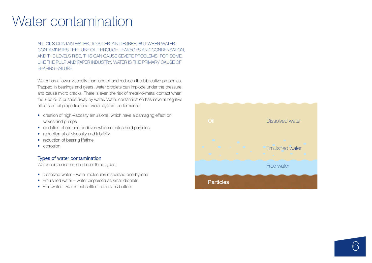## Water contamination

ALL OILS CONTAIN WATER, TO A CERTAIN DEGREE. BUT WHEN WATER CONTAMINATES THE LUBE OIL THROUGH LEAKAGES AND CONDENSATION, AND THE LEVELS RISE, THIS CAN CAUSE SEVERE PROBLEMS. FOR SOME, LIKE THE PULP AND PAPER INDUSTRY, WATER IS THE PRIMARY CAUSE OF BEARING FAILURE.

Water has a lower viscosity than lube oil and reduces the lubricative properties. Trapped in bearings and gears, water droplets can implode under the pressure and cause micro cracks. There is even the risk of metal-to-metal contact when the lube oil is pushed away by water. Water contamination has several negative effects on oil properties and overall system performance:

- creation of high-viscosity emulsions, which have a damaging effect on valves and pumps
- oxidation of oils and additives which creates hard particles
- reduction of oil viscosity and lubricity
- reduction of bearing lifetime
- corrosion

#### Types of water contamination

Water contamination can be of three types:

- Dissolved water water molecules dispersed one-by-one
- Emulsified water water dispersed as small droplets
- Free water water that settles to the tank bottom

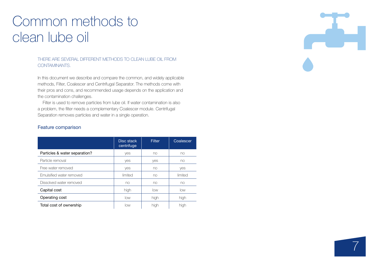## Common methods to clean lube oil

Feature comparison

#### THERE ARE SEVERAL DIFFERENT METHODS TO CLEAN LUBE OIL FROM CONTAMINANTS.

In this document we describe and compare the common, and widely applicable methods, Filter, Coalescer and Centrifugal Separator. The methods come with their pros and cons, and recommended usage depends on the application and the contamination challenges.

Filter is used to remove particles from lube oil. If water contamination is also a problem, the filter needs a complementary Coalescer module. Centrifugal Separation removes particles and water in a single operation.

## Disc stack centrifuge Filter Coalescer Particles & water separation? The ves no no no no Particle removal by the set of the vest of the vest of the monometer of the vest of the monometer of the monometer of the monometer of the monometer of the monometer of the monometer of the monometer of the monometer of th Free water removed a set of the set of the vest of the vest of the vest of the vest of the vest of the vest of the vest of the vest of the vest of the vest of the vest of the vest of the vest of the vest of the vest of the Emulsified water removed a contribution of limited and limited in limited in limited in the limited of limited Dissolved water removed no no no **Capital cost high low low low** low Operating cost low high high Total cost of ownership low a low high high high

# $\overline{\phantom{a}}$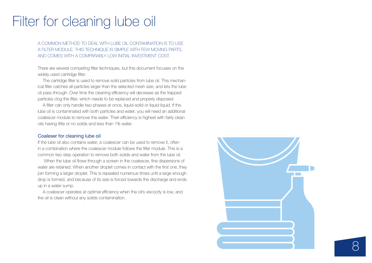## Filter for cleaning lube oil

A COMMON METHOD TO DEAL WITH LUBE OIL CONTAMINATION IS TO USE A FILTER MODULE. THIS TECHNIQUE IS SIMPLE WITH FEW MOVING PARTS, AND COMES WITH A COMPARABLY LOW INITIAL INVESTMENT COST.

There are several competing filter techniques, but this document focuses on the widely used cartridge filter.

The cartridge filter is used to remove solid particles from lube oil. This mechanical filter catches all particles larger than the selected mesh size, and lets the lube oil pass through. Over time the cleaning efficiency will decrease as the trapped particles clog the filter, which needs to be replaced and properly disposed.

A filter can only handle two phases at once, liquid-solid or liquid-liquid. If the lube oil is contaminated with both particles and water, you will need an additional coalescer module to remove the water. Their efficiency is highest with fairly clean oils having little or no solids and less than 1% water.

#### Coaleser for cleaning lube oil

If the lube oil also contains water, a coalescer can be used to remove it, often in a combination where the coalescer module follows the filter module. This is a common two step operation to remove both solids and water from the lube oil.

When the lube oil flows through a screen in the coalescer, fine dispersions of water are retained. When another droplet comes in contact with the first one, they join forming a larger droplet. This is repeated numerous times until a large enough drop is formed, and because of its size is forced towards the discharge and ends up in a water sump.

A coalescer operates at optimal efficiency when the oil's viscocity is low, and the oil is clean without any solids contamination.

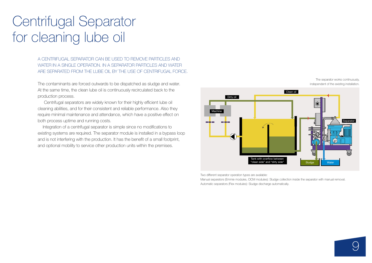## Centrifugal Separator for cleaning lube oil

A CENTRIFUGAL SEPARATOR CAN BE USED TO REMOVE PARTICLES AND WATER IN A SINGLE OPERATION. IN A SEPARATOR PARTICLES AND WATER ARE SEPARATED FROM THE LUBE OIL BY THE USE OF CENTRIFUGAL FORCE.

The contaminants are forced outwards to be dispatched as sludge and water. At the same time, the clean lube oil is continuously recirculated back to the production process.

Centrifugal separators are widely known for their highly efficient lube oil cleaning abilities, and for their consistent and reliable performance. Also they require minimal maintenance and attendance, which have a positive effect on both process uptime and running costs.

Integration of a centrifugal separator is simple since no modifications to existing systems are required. The separator module is installed in a bypass loop and is not interfering with the production. It has the benefit of a small footprint, and optional mobility to service other production units within the premises.



Two different separator operation types are available:

Manual separators (Emmie modules, OCM modules): Sludge collection inside the separator with manual removal. Automatic separators (Flex modules): Sludge discharge automatically.

The separator works continuously, independent of the existing installation.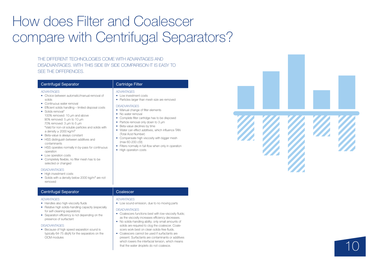# How does Filter and Coalescer compare with Centrifugal Separators?

ADVANTAGES • Low investment costs

**DISADVANTAGES** 

• No water removal

(Total Acid Number)

(max 60-200 cSt)

• High operation costs

THE DIFFERENT TECHNOLOGIES COME WITH ADVANTAGES AND DISADVANTAGES. WITH THIS SIDE BY SIDE COMPARISON IT IS EASY TO SEE THE DIFFERENCES.

#### Centrifugal Separator **Cartridge Filter**

#### ADVANTAGES

- Choice between automatic/manual removal of solids
- Continuous water removal
- Efficient solids handling limited disposal costs
- Solids removal\* 100% removed: 10 µm and above 90% removed: 5 µm to 10 µm 70% removed: 3 µm to 5 µm \*Valid for non-oil soluble particles and solids with a density  $> 2000$  kg/m<sup>3</sup>
- Beta-value is always constant
- HSS distinguish between additives and contaminants
- HSS operates normally in by-pass for continuous operation
- Low operation costs
- Completely flexible, no filter mesh has to be selected or changed

#### **DISADVANTAGES**

- High investment costs
- Solids with a density below 2000 kg/m<sup>3</sup> are not removed

#### Centrifugal Separator **Coalescer**

#### ADVANTAGES

- Handles also high-viscosity fluids
- Relative high solids-handling capacity (especially for self-cleaning separators)
- Separation efficiency is not depending on the presence of surfactant

#### **DISADVANTAGES**

• Because of high speed separation sound is typically 64-75 db(A) for the separators on the OCM modules

#### ADVANTAGES

• Low sound emission, due to no moving parts

• Particles larger than mesh size are removed

• Complete filter cartridge has to be disposed • Particle removal only down to 3 μm • Beta-value declines by time

• Water can effect additives, which influence TAN

• Compensate high viscosity with bigger mesh

• Filters normally in full-flow when only in operation

• Manual change of filter elements

#### **DISADVANTAGES**

- Coalescers functions best with low-viscosity fluids; as the viscosity increases efficiency decreases.
- No solids-handling ability; only small amounts of solids are required to clog the coalescer. Coale scers work best on clean solids-free fluids.
- Coalescers cannot be used if surfactants are present. Surfactants are contaminants or additives which lowers the interfacial tension, which means that the water droplets do not coalesce.



10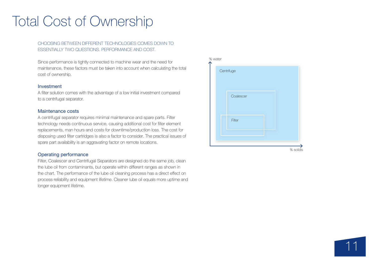## Total Cost of Ownership

#### CHOOSING BETWEEN DIFFERENT TECHNOLOGIES COMES DOWN TO ESSENTIALLY TWO QUESTIONS. PERFORMANCE AND COST.

Since performance is tightly connected to machine wear and the need for maintenance, these factors must be taken into account when calculating the total cost of ownership.

#### Investment

A filter solution comes with the advantage of a low initial investment compared to a centrifugal separator.

#### Maintenance costs

A centrifugal separator requires minimal maintenance and spare parts. Filter technology needs continuous service, causing additional cost for filter element replacements, man hours and costs for downtime/production loss. The cost for disposing used filter cartridges is also a factor to consider. The practical issues of spare part availability is an aggravating factor on remote locations.

#### Operating performance

Filter, Coalescer and Centrifugal Separators are designed do the same job, clean the lube oil from contaminants, but operate within different ranges as shown in the chart. The performance of the lube oil cleaning process has a direct effect on process reliability and equipment lifetime. Cleaner lube oil equals more uptime and longer equipment lifetime.



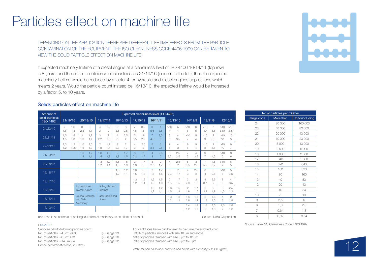## Particles effect on machine life

#### DEPENDING ON THE APPLICATION THERE ARE DIFFERENT LIFETIME EFFECTS FROM THE PARTICLE CONTAMINATION OF THE EQUIPMENT. THE ISO CLEANLINESS CODE 4406:1999 CAN BE TAKEN TO VIEW THE SOLID PARTICLE EFFECT ON MACHINE LIFE.

If expected machinery lifetime of a diesel engine at a cleanliness level of ISO 4406 16/14/11 (top row) is 8 years, and the current continuous oil cleanliness is 21/19/16 (column to the left), then the expected machinery lifetime would be reduced by a factor 4 for hydraulic and diesel engines applications which means 2 years. Would the particle count instead be 15/13/10, the expected lifetime would be increased by a factor 5, to 10 years.

#### Solids particles effect on machine life

| Amount of                     |                       | Expected cleaniliness level (ISO 4406) |                                                |                       |                       |                             |                      |                       |                       |                       |                       |                       |                       |                       |                       |                       |                       |                       |                     |                                  |  |
|-------------------------------|-----------------------|----------------------------------------|------------------------------------------------|-----------------------|-----------------------|-----------------------------|----------------------|-----------------------|-----------------------|-----------------------|-----------------------|-----------------------|-----------------------|-----------------------|-----------------------|-----------------------|-----------------------|-----------------------|---------------------|----------------------------------|--|
| solid particles<br>(ISO 4406) | 21/19/16              |                                        |                                                | 20/18/15              |                       | 19/17/14                    |                      | 18/16/13              |                       | 17/15/12              |                       | 16/14/11              |                       | 15/13/10              |                       | 14/12/9               |                       | 13/11/8               |                     | 12/10/7                          |  |
| 24/22/19                      | $\overline{2}$<br>1,8 | 1,6<br>1,3                             | 3<br>2,3                                       | $\overline{2}$<br>1,7 | $\overline{4}$<br>3   | 2,5<br>$\overline{2}$       | 6<br>3,5             | 3<br>2.5              | 7<br>4,5              | 3,5<br>3              | 8<br>5,5              | $\overline{4}$<br>3,5 | >10<br>7              | 5<br>4                | >10<br>8              | 6<br>5                | >10<br>10             | $\overline{7}$<br>5,5 | >10<br>>10          | >10<br>8,5                       |  |
| 23/21/18                      | 1,5<br>1,5            | 1.5<br>1,3                             | $\overline{2}$<br>1,8                          | 1.7<br>1,4            | 3<br>2,2              | $\overline{2}$<br>1,6       | 4<br>3               | 2.5<br>$\mathfrak{D}$ | 5<br>3,5              | 3<br>2,5              | $\overline{7}$<br>4,5 | 3,5<br>3              | 9<br>5                | $\Delta$<br>3.5       | >10<br>7              | 5<br>4                | >10<br>9              | $\overline{7}$<br>5,5 | >10<br>10           | 10<br>8                          |  |
| 22/20/17                      | 1,3<br>1,2            | 1,2<br>1,05                            | 1.6<br>1,5                                     | 1,5<br>1,3            | $\overline{2}$<br>1,8 | 1.7<br>1,4                  | 3<br>2,3             | $\overline{2}$<br>1,7 | $\Delta$<br>3         | 2,5<br>$\overline{2}$ | 5<br>3,5              | 3<br>2,5              | $\overline{7}$<br>5   | $\Delta$<br>3         | 9<br>6                | 5<br>4                | >10<br>8              | $\overline{7}$<br>5,5 | >10<br>10           | $\overline{9}$<br>$\overline{7}$ |  |
| 21/19/16                      |                       |                                        | 1,3<br>1,2                                     | 1,2<br>1,1            | 1,6<br>1,5            | 1,5<br>1,3                  | $\mathcal{P}$<br>1,8 | 1,7<br>1,5            | 3<br>2,2              | $\overline{2}$<br>1,7 | $\overline{4}$<br>3   | 2,5<br>$\overline{2}$ | 5<br>3,5              | 2,5<br>2,5            | $\overline{7}$<br>5   | 4<br>3,5              | 9<br>$\overline{7}$   | 6<br>4,5              | >10<br>9            | 8<br>6                           |  |
| 20/18/15                      |                       |                                        |                                                |                       | 1,3<br>1,2            | 1,2<br>1,1                  | 1.6<br>1,5           | 1,5<br>1,3            | $\overline{2}$<br>1,8 | 1.7<br>1,5            | 3<br>2,3              | $\overline{2}$<br>1,7 | 4<br>3                | 2.5<br>$\overline{2}$ | 5<br>3,5              | 3<br>2,5              | $\overline{7}$<br>5,5 | 4.6<br>3,7            | >10<br>9            | 6<br>5                           |  |
| 19/18/17                      |                       |                                        |                                                |                       |                       |                             | 1.3<br>1,2           | 1,2<br>1,1            | 1.6<br>1.5            | 1,5<br>1,3            | $\overline{2}$<br>1,8 | 1.7<br>1,5            | 3<br>2,3              | $\mathfrak{D}$<br>1.7 | 4<br>3                | 2,5<br>2              | 6<br>$\overline{4}$   | 3<br>2,5              | >10<br>8            | 5<br>3,5                         |  |
| 18/17/16                      |                       |                                        |                                                |                       |                       |                             |                      |                       | 1.3<br>1,2            | 1.2<br>1,1            | 1.6<br>1,5            | 1.5<br>1,3            | $\overline{2}$<br>1,8 | 1.7<br>1,5            | 3<br>2,3              | $\overline{2}$<br>1,8 | 4<br>3.7              | 3.5<br>$\overline{2}$ | 8<br>6              | $\overline{4}$<br>3,5            |  |
| 17/16/15                      |                       |                                        | <b>Hydraulics and</b><br><b>Diesel Engines</b> |                       |                       | Rolling Element<br>Bearings |                      |                       |                       |                       | 1.3<br>1,2            | 1,2<br>1,1            | 1.6<br>1,5            | 1.5<br>1,4            | $\overline{2}$<br>1,8 | 1.7<br>1,5            | 3<br>2,3              | $\overline{2}$<br>1,8 | 6<br>4,5            | 2,5<br>2,2                       |  |
| 16/15/14                      |                       |                                        | and Turbo<br>Machinery                         | Journal Bearings      | <b>others</b>         | Gear Boxes and              |                      |                       |                       |                       |                       |                       | 1,3<br>1,2            | 1.3<br>1,1            | 1,6<br>1.6            | 1,6<br>1,4            | $\overline{2}$<br>1,9 | 1.8<br>1.5            | $\overline{4}$<br>3 | $\overline{2}$<br>1,8            |  |
| 15/13/10                      |                       |                                        |                                                |                       |                       |                             |                      |                       |                       |                       |                       |                       |                       |                       | 1.4<br>1.2            | 1,2<br>1,1            | 1.8<br>1,6            | 1.5<br>1,3            | 2,5<br>$\mathbf{2}$ | 1,8<br>1,6                       |  |

This chart is an estimate of prolonged lifetime of machinery as an effect of clean oil.

Source: Noria Corporation

#### Source: Table ISO Cleanliness Code 4406:1999

Suppose oil with following particles count: No. of particles  $> 4$  μm:  $9800$  (=> range 20) No. of particles  $> 6 \mu m$ : 470 (=> range 16) No. of particles  $> 14$  μm: 34 (=> range 12) Hence contamination level 20/16/12

**EXAMPLE:** 

For centrifuges below can be taken to calculate the solid reduction: 100% of particles removed with size 10 µm and above 90% of particles removed with size 5 um to 10 um 70% of particles removed with size 3 µm to 5 µm

(Valid for non-oil soluble particles and solids with a density  $\geq$  2000 kg/m<sup>3</sup>)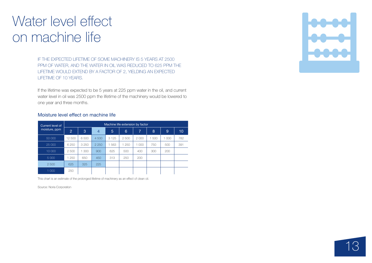## Water level effect on machine life

IF THE EXPECTED LIFETIME OF SOME MACHINERY IS 5 YEARS AT 2500 PPM OF WATER, AND THE WATER IN OIL WAS REDUCED TO 625 PPM THE LIFETIME WOULD EXTEND BY A FACTOR OF 2, YIELDING AN EXPECTED LIFETIME OF 10 YEARS.

If the lifetime was expected to be 5 years at 225 ppm water in the oil, and current water level in oil was 2500 ppm the lifetime of the machinery would be lowered to one year and three months.

#### Moisture level effect on machine life

| Current level of<br>moisture, ppm | Machine life extension by factor |         |         |         |       |         |       |       |     |  |  |  |
|-----------------------------------|----------------------------------|---------|---------|---------|-------|---------|-------|-------|-----|--|--|--|
|                                   | $\overline{2}$                   | 3       | 4       | 5       | 6     | 7       | 8     | 9     | 10  |  |  |  |
| 50 000                            | 12 500                           | 6500    | 4 500   | 3 1 2 5 | 2500  | 2000    | 1 500 | 1 000 | 782 |  |  |  |
| 25 000                            | 6 2 5 0                          | 3 2 5 0 | 2 2 5 0 | 1563    | 1 250 | 1 0 0 0 | 750   | 500   | 391 |  |  |  |
| 10 000                            | 2500                             | 1 300   | 900     | 625     | 500   | 400     | 300   | 200   |     |  |  |  |
| 5 0 0 0                           | 1 250                            | 650     | 450     | 313     | 250   | 200     |       |       |     |  |  |  |
| 2 500                             | 625                              | 325     | 225     |         |       |         |       |       |     |  |  |  |
| 1 0 0 0                           | 250                              |         |         |         |       |         |       |       |     |  |  |  |

This chart is an estimate of the prolonged lifetime of machinery as an effect of clean oil.

Source: Noria Corporation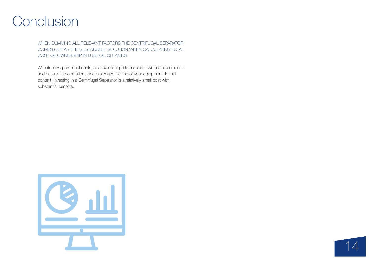## Conclusion

WHEN SUMMING ALL RELEVANT FACTORS THE CENTRIFUGAL SEPARATOR COMES OUT AS THE SUSTAINABLE SOLUTION WHEN CALCULATING TOTAL COST OF OWNERSHIP IN LUBE OIL CLEANING.

With its low operational costs, and excellent performance, it will provide smooth and hassle-free operations and prolonged lifetime of your equipment. In that context, investing in a Centrifugal Separator is a relatively small cost with substantial benefits.



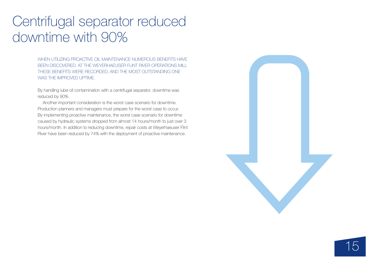## Centrifugal separator reduced downtime with 90%

WHEN UTILIZING PROACTIVE OIL MAINTENANCE NUMEROUS BENEFITS HAVE BEEN DISCOVERED. AT THE WEYERHAEUSER FLINT RIVER OPERATIONS MILL THESE BENEFITS WERE RECORDED, AND THE MOST OUTSTANDING ONE WAS THE IMPROVED UPTIME.

By handling lube oil contamination with a centrifugal separator, downtime was reduced by 90%.

Another important consideration is the worst case scenario for downtime. Production planners and managers must prepare for the worst case to occur. By implementing proactive maintenance, the worst case scenario for downtime caused by hydraulic systems dropped from almost 14 hours/month to just over 3 hours/month. In addition to reducing downtime, repair costs at Weyerhaeuser Flint River have been reduced by 74% with the deployment of proactive maintenance.